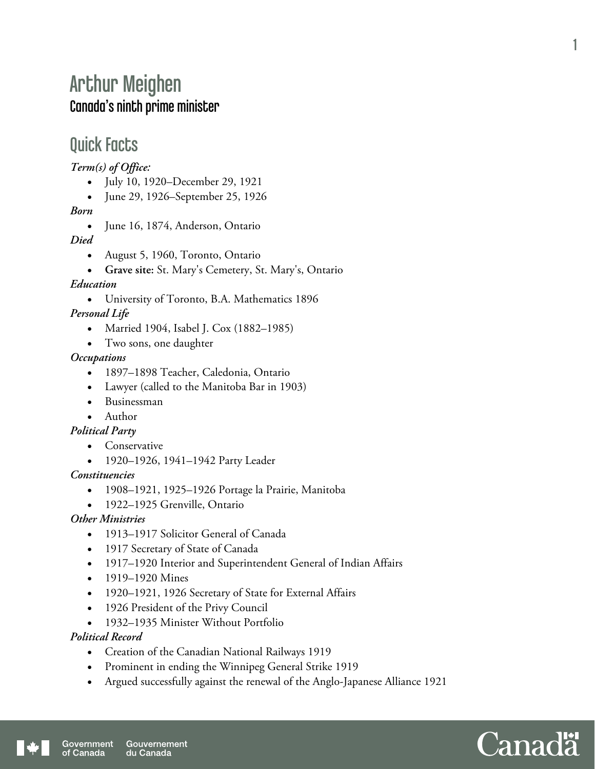# Arthur Meighen Canada's ninth prime minister

### Quick Facts

*Term(s) of Office:* 

- July 10, 1920–December 29, 1921
- June 29, 1926–September 25, 1926

*Born* 

• June 16, 1874, Anderson, Ontario

*Died* 

- August 5, 1960, Toronto, Ontario
- **Grave site:** St. Mary's Cemetery, St. Mary's, Ontario

*Education* 

University of Toronto, B.A. Mathematics 1896

*Personal Life* 

- Married 1904, Isabel J. Cox (1882–1985)
- Two sons, one daughter

#### *Occupations*

- 1897–1898 Teacher, Caledonia, Ontario
- Lawyer (called to the Manitoba Bar in 1903)
- Businessman

#### Author

*Political Party* 

- Conservative
	- 1920–1926, 1941–1942 Party Leader

#### *Constituencies*

- 1908–1921, 1925–1926 Portage la Prairie, Manitoba
- 1922–1925 Grenville, Ontario

### *Other Ministries*

- 1913–1917 Solicitor General of Canada
- 1917 Secretary of State of Canada
- 1917–1920 Interior and Superintendent General of Indian Affairs
- 1919–1920 Mines
- 1920–1921, 1926 Secretary of State for External Affairs
- 1926 President of the Privy Council
- 1932–1935 Minister Without Portfolio

#### *Political Record*

- Creation of the Canadian National Railways 1919
- Prominent in ending the Winnipeg General Strike 1919
- Argued successfully against the renewal of the Anglo-Japanese Alliance 1921

1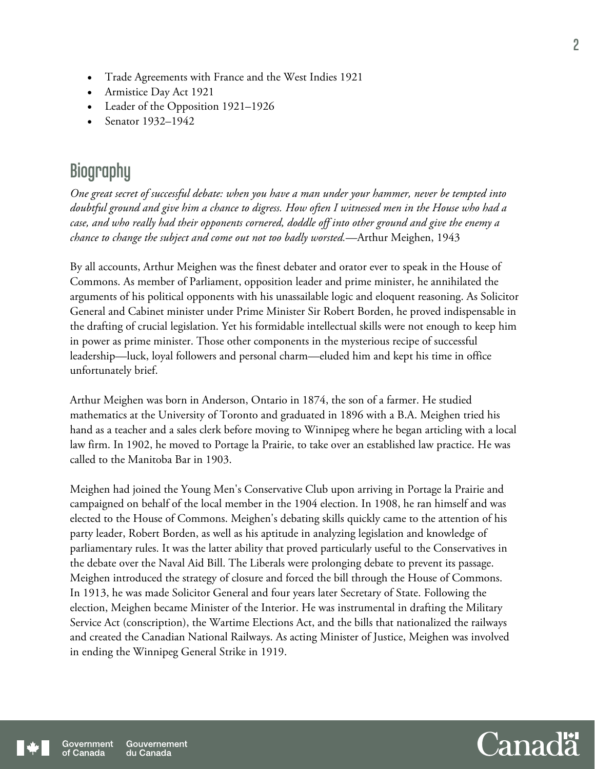- Trade Agreements with France and the West Indies 1921
- Armistice Day Act 1921
- Leader of the Opposition 1921–1926
- Senator 1932–1942

## **Biography**

*One great secret of successful debate: when you have a man under your hammer, never be tempted into doubtful ground and give him a chance to digress. How often I witnessed men in the House who had a case, and who really had their opponents cornered, doddle off into other ground and give the enemy a chance to change the subject and come out not too badly worsted.*—Arthur Meighen, 1943

By all accounts, Arthur Meighen was the finest debater and orator ever to speak in the House of Commons. As member of Parliament, opposition leader and prime minister, he annihilated the arguments of his political opponents with his unassailable logic and eloquent reasoning. As Solicitor General and Cabinet minister under Prime Minister Sir Robert Borden, he proved indispensable in the drafting of crucial legislation. Yet his formidable intellectual skills were not enough to keep him in power as prime minister. Those other components in the mysterious recipe of successful leadership—luck, loyal followers and personal charm—eluded him and kept his time in office unfortunately brief.

Arthur Meighen was born in Anderson, Ontario in 1874, the son of a farmer. He studied mathematics at the University of Toronto and graduated in 1896 with a B.A. Meighen tried his hand as a teacher and a sales clerk before moving to Winnipeg where he began articling with a local law firm. In 1902, he moved to Portage la Prairie, to take over an established law practice. He was called to the Manitoba Bar in 1903.

Meighen had joined the Young Men's Conservative Club upon arriving in Portage la Prairie and campaigned on behalf of the local member in the 1904 election. In 1908, he ran himself and was elected to the House of Commons. Meighen's debating skills quickly came to the attention of his party leader, Robert Borden, as well as his aptitude in analyzing legislation and knowledge of parliamentary rules. It was the latter ability that proved particularly useful to the Conservatives in the debate over the Naval Aid Bill. The Liberals were prolonging debate to prevent its passage. Meighen introduced the strategy of closure and forced the bill through the House of Commons. In 1913, he was made Solicitor General and four years later Secretary of State. Following the election, Meighen became Minister of the Interior. He was instrumental in drafting the Military Service Act (conscription), the Wartime Elections Act, and the bills that nationalized the railways and created the Canadian National Railways. As acting Minister of Justice, Meighen was involved in ending the Winnipeg General Strike in 1919.

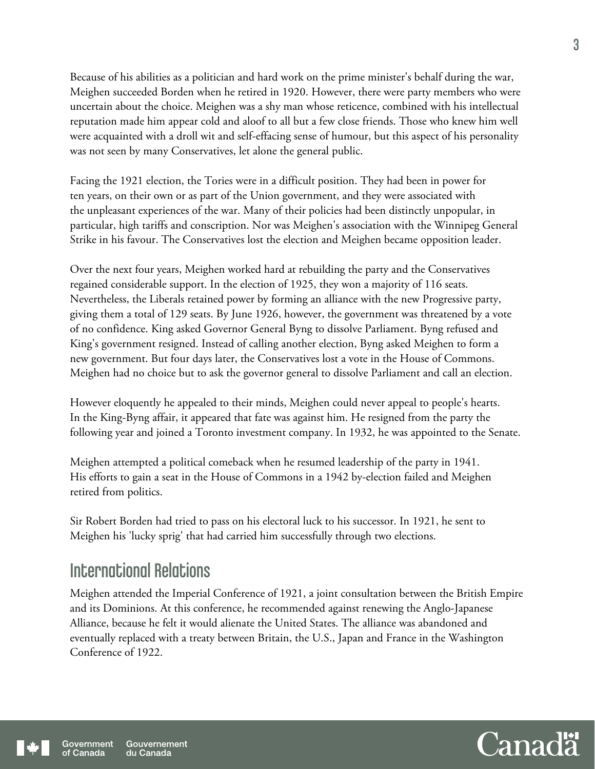Because of his abilities as a politician and hard work on the prime minister's behalf during the war, Meighen succeeded Borden when he retired in 1920. However, there were party members who were uncertain about the choice. Meighen was a shy man whose reticence, combined with his intellectual reputation made him appear cold and aloof to all but a few close friends. Those who knew him well were acquainted with a droll wit and self-effacing sense of humour, but this aspect of his personality was not seen by many Conservatives, let alone the general public.

Facing the 1921 election, the Tories were in a difficult position. They had been in power for ten years, on their own or as part of the Union government, and they were associated with the unpleasant experiences of the war. Many of their policies had been distinctly unpopular, in particular, high tariffs and conscription. Nor was Meighen's association with the Winnipeg General Strike in his favour. The Conservatives lost the election and Meighen became opposition leader.

Over the next four years, Meighen worked hard at rebuilding the party and the Conservatives regained considerable support. In the election of 1925, they won a majority of 116 seats. Nevertheless, the Liberals retained power by forming an alliance with the new Progressive party, giving them a total of 129 seats. By June 1926, however, the government was threatened by a vote of no confidence. King asked Governor General Byng to dissolve Parliament. Byng refused and King's government resigned. Instead of calling another election, Byng asked Meighen to form a new government. But four days later, the Conservatives lost a vote in the House of Commons. Meighen had no choice but to ask the governor general to dissolve Parliament and call an election.

However eloquently he appealed to their minds, Meighen could never appeal to people's hearts. In the King-Byng affair, it appeared that fate was against him. He resigned from the party the following year and joined a Toronto investment company. In 1932, he was appointed to the Senate.

Meighen attempted a political comeback when he resumed leadership of the party in 1941. His efforts to gain a seat in the House of Commons in a 1942 by-election failed and Meighen retired from politics.

Sir Robert Borden had tried to pass on his electoral luck to his successor. In 1921, he sent to Meighen his 'lucky sprig' that had carried him successfully through two elections.

### International Relations

Meighen attended the Imperial Conference of 1921, a joint consultation between the British Empire and its Dominions. At this conference, he recommended against renewing the Anglo-Japanese Alliance, because he felt it would alienate the United States. The alliance was abandoned and eventually replaced with a treaty between Britain, the U.S., Japan and France in the Washington Conference of 1922.